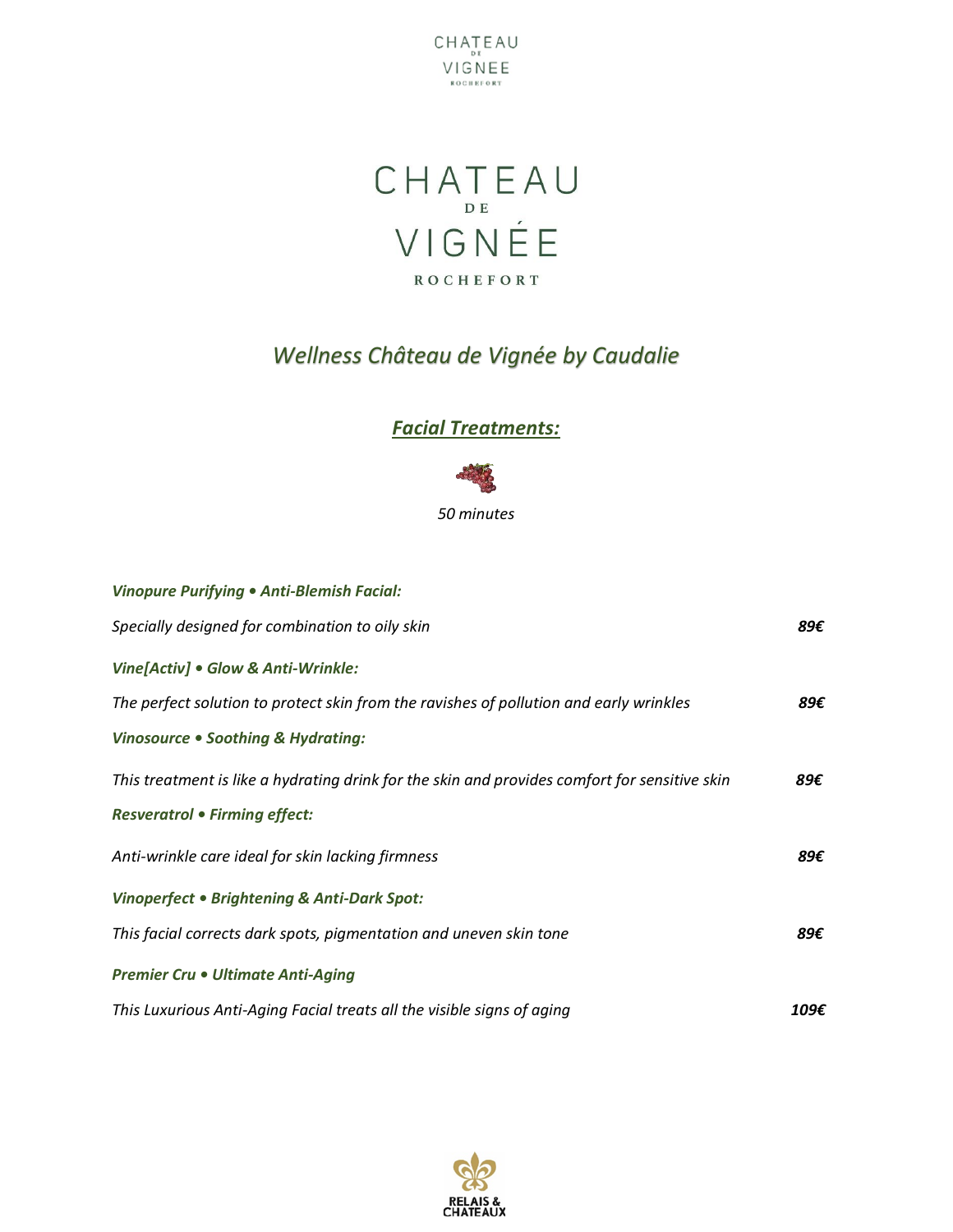



# *Wellness Château de Vignée by Caudalie*

### *Facial Treatments:*



| <b>Vinopure Purifying . Anti-Blemish Facial:</b>                                              |      |
|-----------------------------------------------------------------------------------------------|------|
| Specially designed for combination to oily skin                                               | 89€  |
| Vine[Activ] . Glow & Anti-Wrinkle:                                                            |      |
| The perfect solution to protect skin from the ravishes of pollution and early wrinkles        | 89€  |
| Vinosource . Soothing & Hydrating:                                                            |      |
| This treatment is like a hydrating drink for the skin and provides comfort for sensitive skin | 89€  |
| <b>Resveratrol • Firming effect:</b>                                                          |      |
| Anti-wrinkle care ideal for skin lacking firmness                                             | 89€  |
| Vinoperfect . Brightening & Anti-Dark Spot:                                                   |      |
| This facial corrects dark spots, pigmentation and uneven skin tone                            | 89€  |
| <b>Premier Cru • Ultimate Anti-Aging</b>                                                      |      |
| This Luxurious Anti-Aging Facial treats all the visible signs of aging                        | 109€ |

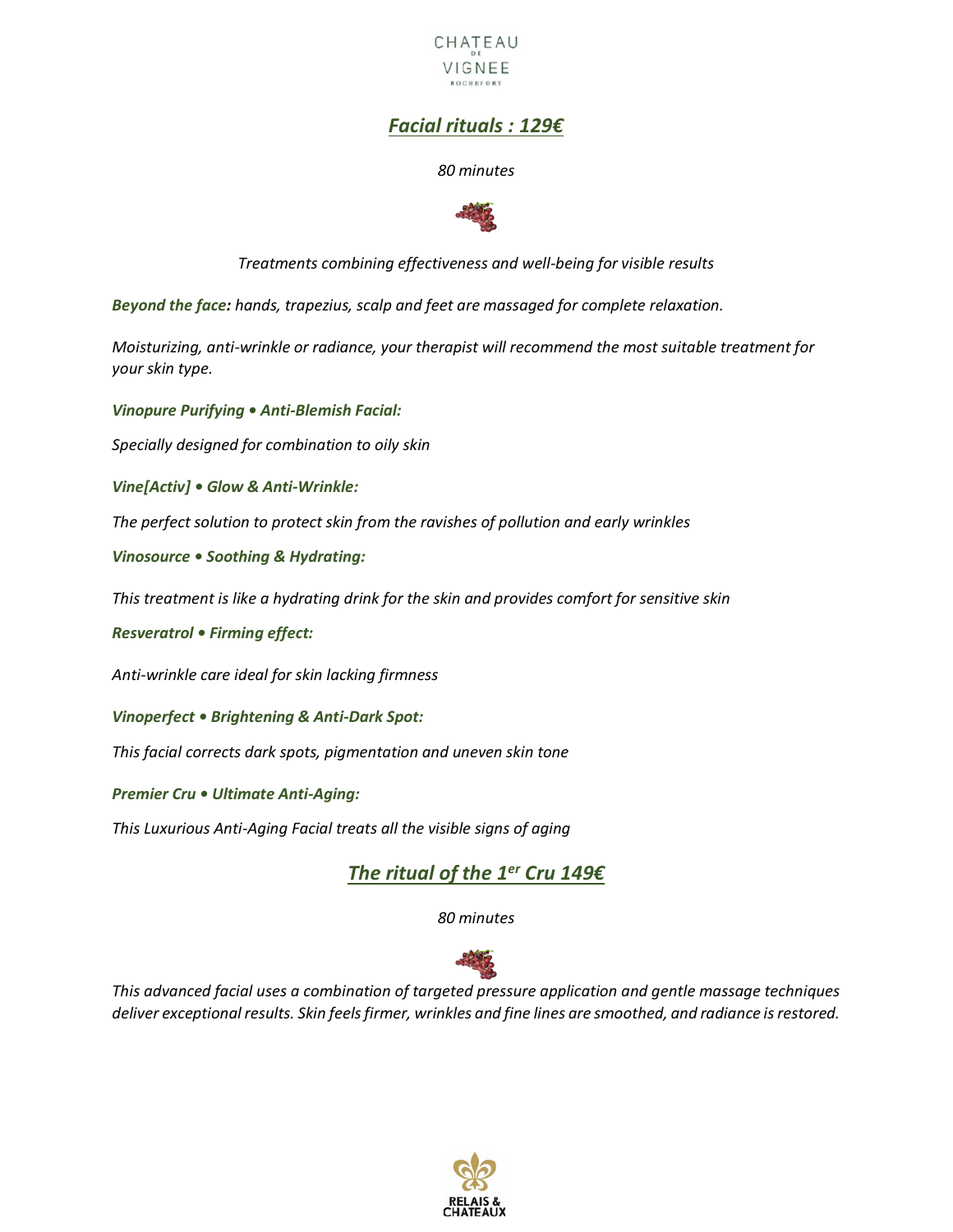

## *Facial rituals : 129€*

#### *80 minutes*



*Treatments combining effectiveness and well-being for visible results*

*Beyond the face: hands, trapezius, scalp and feet are massaged for complete relaxation.*

*Moisturizing, anti-wrinkle or radiance, your therapist will recommend the most suitable treatment for your skin type.* 

*Vinopure Purifying • Anti-Blemish Facial:*

*Specially designed for combination to oily skin* 

*Vine[Activ] • Glow & Anti-Wrinkle:*

*The perfect solution to protect skin from the ravishes of pollution and early wrinkles* 

*Vinosource • Soothing & Hydrating:*

*This treatment is like a hydrating drink for the skin and provides comfort for sensitive skin* 

*Resveratrol • Firming effect:* 

*Anti-wrinkle care ideal for skin lacking firmness* 

*Vinoperfect • Brightening & Anti-Dark Spot:*

*This facial corrects dark spots, pigmentation and uneven skin tone* 

*Premier Cru • Ultimate Anti-Aging:*

*This Luxurious Anti-Aging Facial treats all the visible signs of aging* 

### *The ritual of the 1er Cru 149€*

*80 minutes*



*This advanced facial uses a combination of targeted pressure application and gentle massage techniques deliver exceptional results. Skin feels firmer, wrinkles and fine lines are smoothed, and radiance is restored.*

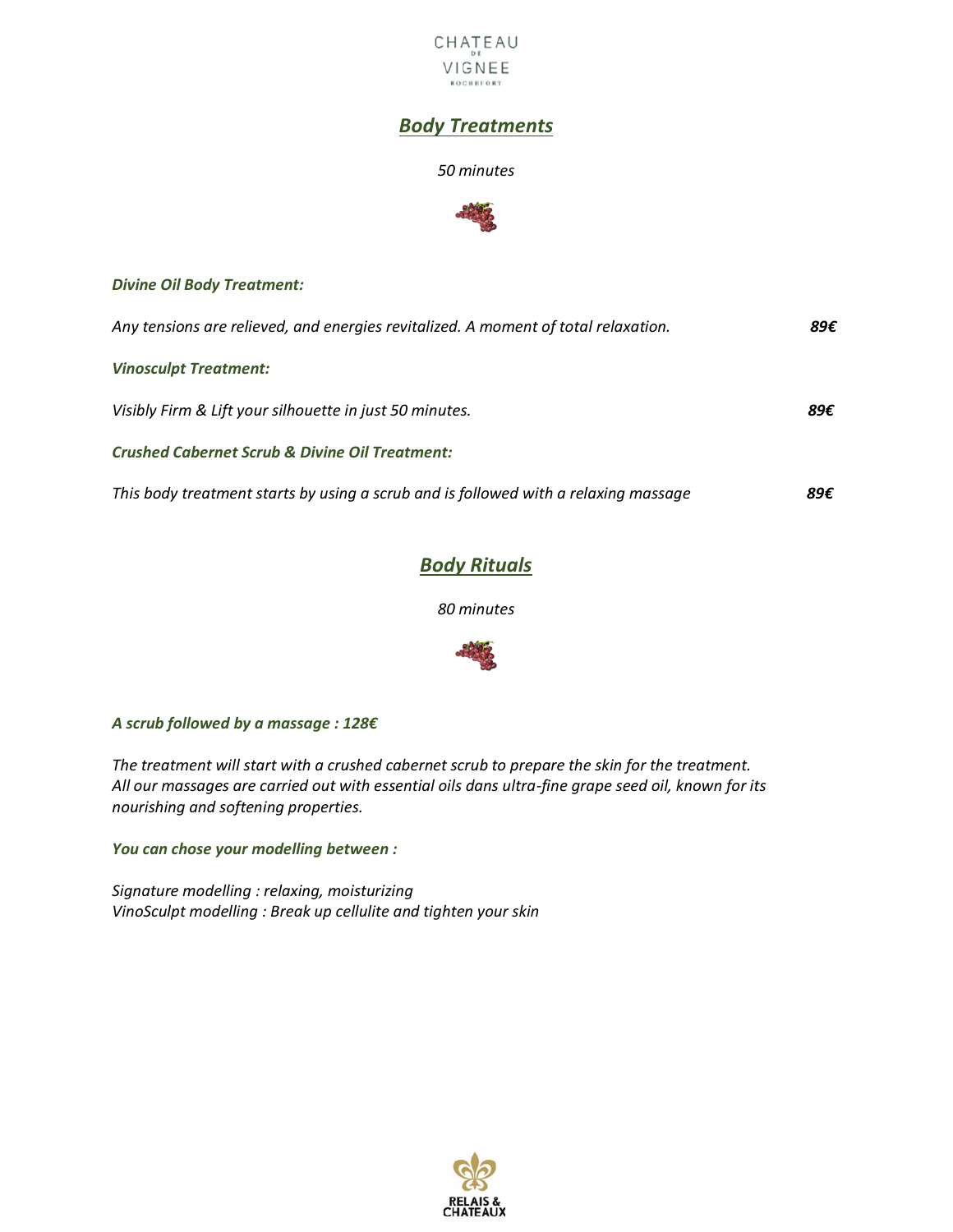

### *Body Treatments*

#### *50 minutes*



#### *Divine Oil Body Treatment:*

| Any tensions are relieved, and energies revitalized. A moment of total relaxation.  | 89€ |
|-------------------------------------------------------------------------------------|-----|
| <b>Vinosculpt Treatment:</b>                                                        |     |
| Visibly Firm & Lift your silhouette in just 50 minutes.                             | 89€ |
| <b>Crushed Cabernet Scrub &amp; Divine Oil Treatment:</b>                           |     |
| This body treatment starts by using a scrub and is followed with a relaxing massage | 89€ |

### *Body Rituals*

*80 minutes*



#### *A scrub followed by a massage : 128€*

*The treatment will start with a crushed cabernet scrub to prepare the skin for the treatment. All our massages are carried out with essential oils dans ultra-fine grape seed oil, known for its nourishing and softening properties.* 

*You can chose your modelling between :*

*Signature modelling : relaxing, moisturizing VinoSculpt modelling : Break up cellulite and tighten your skin*

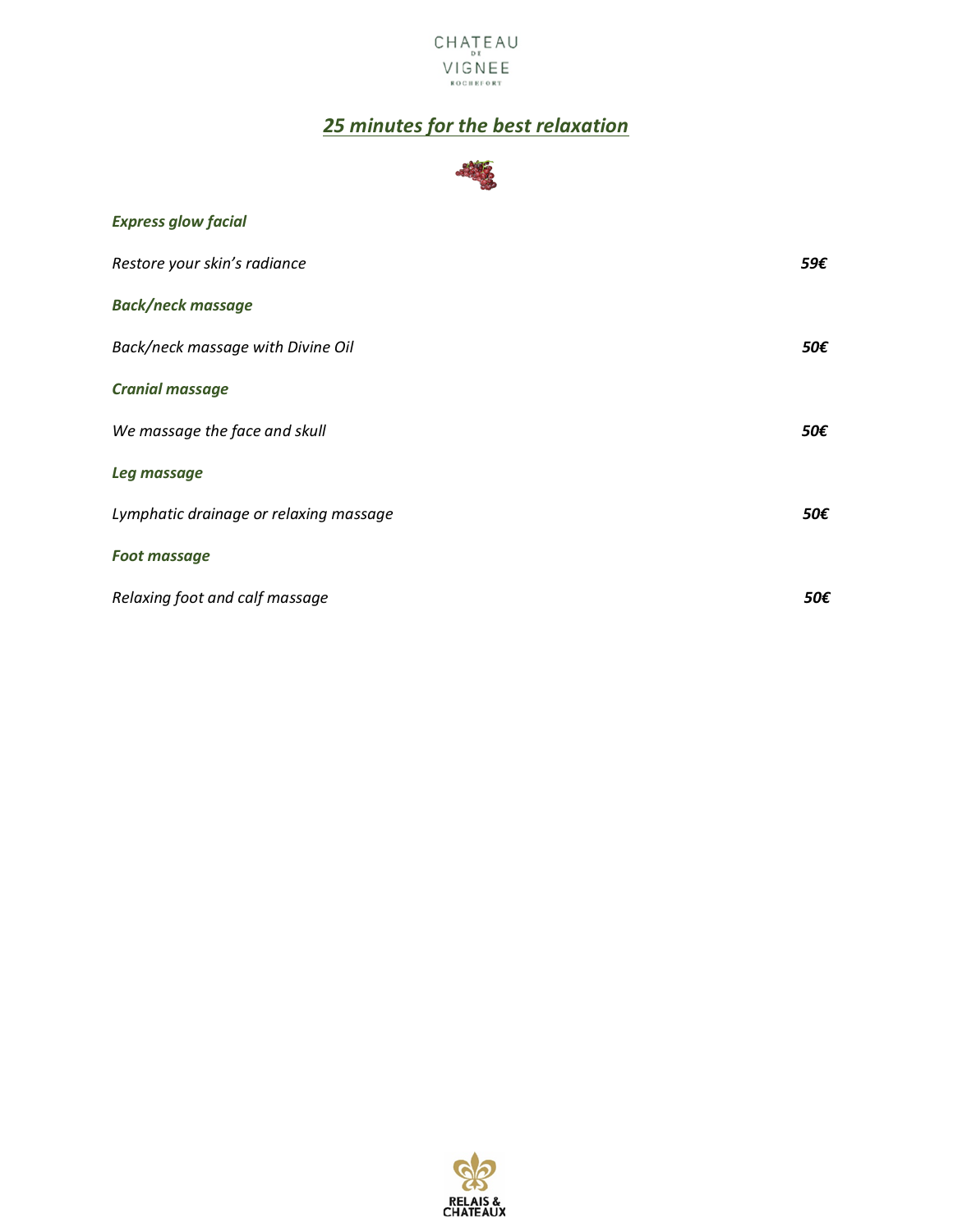

# *25 minutes for the best relaxation*



| <b>Express glow facial</b>             |     |
|----------------------------------------|-----|
| Restore your skin's radiance           | 59€ |
| <b>Back/neck massage</b>               |     |
| Back/neck massage with Divine Oil      | 50€ |
| <b>Cranial massage</b>                 |     |
| We massage the face and skull          | 50€ |
| Leg massage                            |     |
| Lymphatic drainage or relaxing massage | 50€ |
| <b>Foot massage</b>                    |     |
| Relaxing foot and calf massage         | 50€ |